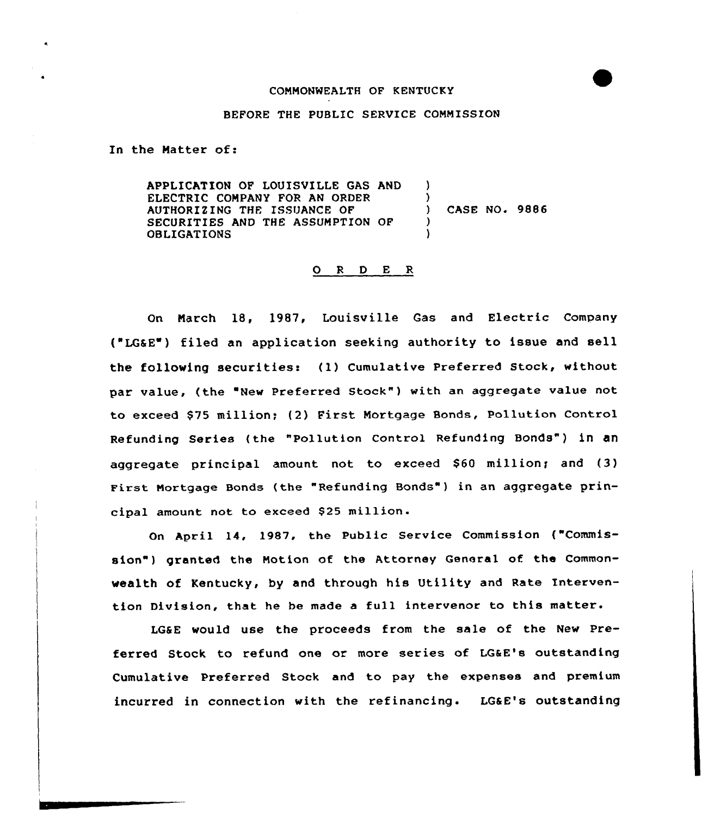## COMMONWEALTH OF KENTUCKY

## BEFORE THE PUBLIC SERVICE COMMISSION

In the Matter of:

APPLICATION OF LOUISVILLE GAS AND ELECTRIC COMPANY FOR AN ORDER AUTHORIZING THE ISSUANCE OF SECURITIES AND THE ASSUMPTION OF OBLIGATIONS ) )<br>) ) CASE NO. 9886 ) )

## 0 <sup>R</sup> <sup>D</sup> E R

On March 18, 1987, Louisville Gas and Electric Company ("LGSE ) filed an application seeking authority to issue and sell the following securities: (1) Cumulative Preferred Stock, without par value, (the "New Preferred Stock") with an aggregate value not to exceed \$75 million; (2) First Mortgage Bonds, Pollution Control Refunding Series (the "Pollution Control Refunding Bonds") in an aggregate principal amount not to exceed \$60 million; and (3) First Nortgage Bonds (the "Refunding Bonds" ) in an aggregate principal amount not to exceed \$25 million.

On April 14, 1987, the Public Service Commission ("Commission") granted the Notion of the Attorney General of the Commonwealth of Kentucky, by and through his Utility and Rate Intervention Division, that he be made <sup>a</sup> full intervenor to this matter.

LG&E would use the proceeds from the sale of the New Preferred Stock to refund one or more series of LG&E's outstanding Cumulative Preferred Stock and to pay the expenses and premium incurred in connection with the refinancing. LGaE's outstanding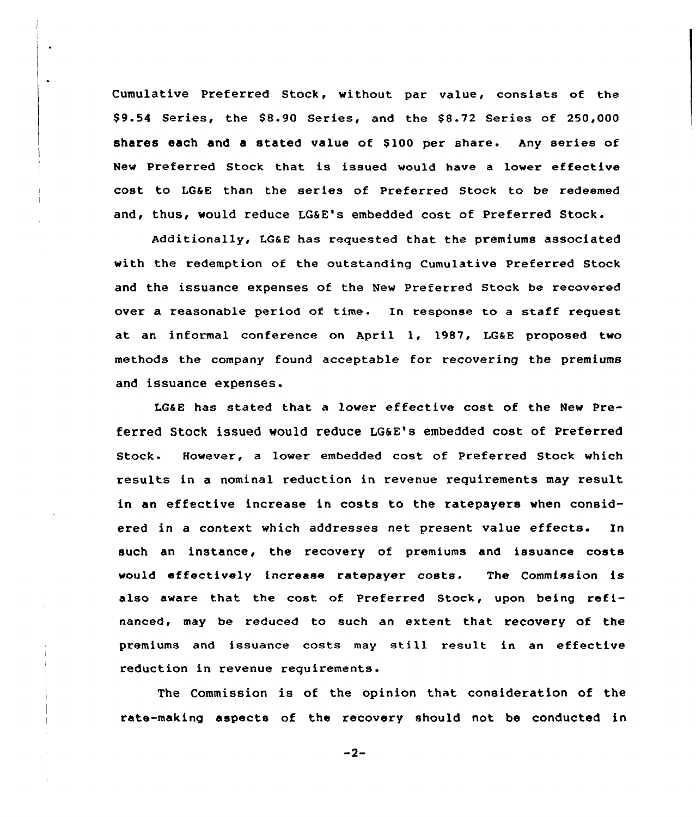Cumulative Preferred Stock, without par value, consists of the \$9.54 Series, the \$8.90 Series, and the \$8.72 Series of 250,000 shares each and a stated value of \$100 per share. Any series of New Preferred Stock that is issued would have <sup>a</sup> lower effective cost to IG&E than the series of Preferred Stock to be redeemed and, thus, would reduce LG&E's embedded cost of Preferred Stock.

Additionally, I.G&E has requested that the premiums associated with the redemption of the outstanding Cumulative Preferred Stock and the issuance expenses of the New Preferred Stock be recovered over a reasonable period of time. In response to a staff request at an informal conference on April 1, 1987, LG&E proposed two methods the company found acceptable for recovering the premiums and issuance expenses.

LG&B has stated that a lower effective cost of the Mew Preferred Stock issued would reduce LG&E's embedded cost of Preferred Stock. However, a lover embedded cost of Preferred Stock which results in a nominal reduction in revenue requirements may result in an effective increase in costs to the ratepayers when considered in a context which addresses net present value effects. In such an instance, the recovery of premiums and issuance costs would effectively increase ratepayer costs. The Commission is also aware that the cost of Preferred Stock, upon being refinanced, may be reduced to such an extent that recovery of the premiums and issuance costs may still result in an effective reduction in revenue requirements.

The Commission is of the opinion that consideration of the rate-making aspects of the recovery should not be conducted in

 $-2-$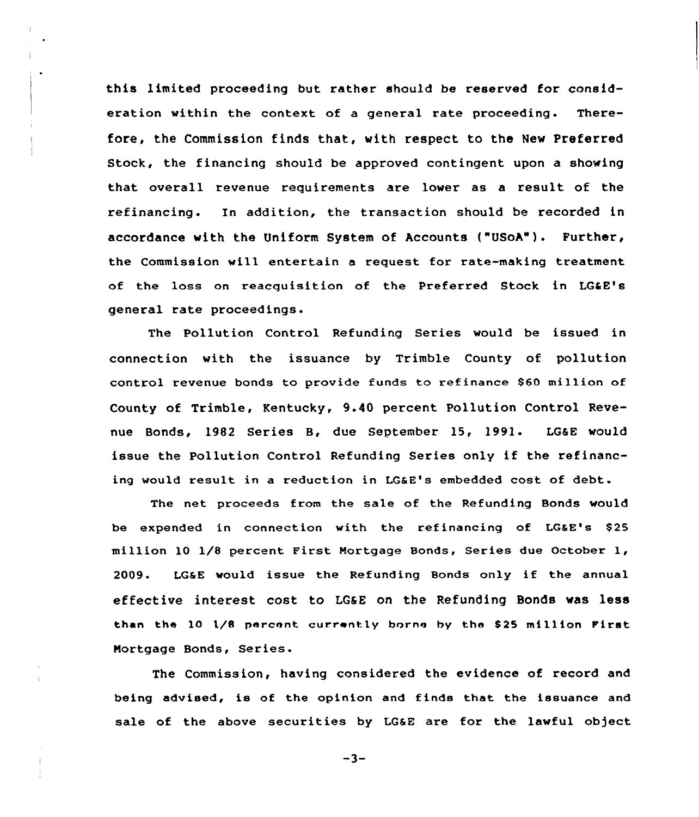this limited proceeding but rather should be reserved for consideration within the context of a general rate proceeding. Therefore, the Commission finds that, with respect to the New Preferred Stock, the financing should be approved contingent upon a showing that overall revenue requirements are lower as a result of the refinancing. In addition, the transaction should be recorded in accordance with the Uniform System of Accounts ("USoA"). Further, the Commission will entertain a request for rate-making treatment of the loss on reacquisition of the Preferred Stock in LG&E's general rate proceedings.

The Pollution Control Refunding Series would be issued in connection with the issuance by Trimble County of pollution control revenue bonds to provide funds to refinance \$60 million of County of Trimble, Kentucky, 9.40 percent Pollution Control Revenue Bonds, 1982 Series 8, due September 15, 1991. LGSE would issue the Pollution Control Refunding Series only if the refinancing would result in a reduction in LGaE's embedded cost of debt.

The net proceeds from the sale of the Refunding Bonds would be expended in connection with the refinancing of LG&E's \$25 million 10 1/8 percent First Mortgage Bonds, Series due October 1, 2009. LGSE would issue the Refunding Bonds only if the annual effective interest cost to LGSE on the Refunding Bonds was 1888 than the 10 l/8 percent currently borne by the S25 million First Nortgage Bonds, Series-

The Commission, having considered the evidence of record and being advised, is of the opinion and finds that the issuance and sale of the above securities by LG&E are for the lawful object

 $-3-$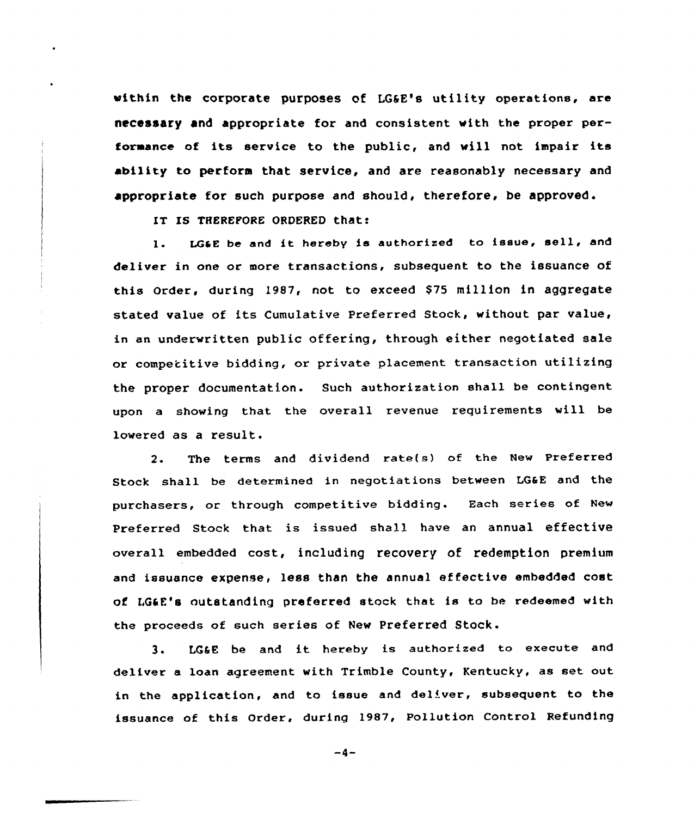within the corporate purposes of LG6E's utility operations, are necessary and appropriate for and consistent with the proper performance of its service to the public, and will not impair its ability to perform that service, and are reasonably necessary and appropriate for such purpose and should, therefore, be approved.

IT IS THEREPORE ORDERED that:

1. LG&E be and it hereby is authorized to issue, sell, and deliver in one or more transactions, subsequent to the issuance of this Order, during 1987, not to exceed \$75 million in aggregate stated value of its Cumulative Preferred Stock, without par value, in an underwritten public offering, through either negotiated sale or competitive bidding, or private placement transaction utilizing the proper documentation. such authorization shall be contingent upon a showing that the overall revenue requirements will be lowered as a result.

2. The terms and dividend rate(s) of the New Preferred Stock shall be determined in negotiations between LG&E and the purchasers, or through competitive bidding. Each series of Nev Preferred Stock that is issued shall have an annual effective overall embedded cost, including recovery of x'edemption premium and issuance expense, less than the annual effective embedded cost of LG4E's outstanding preferred stock that is to be redeemed with the proceeds of such aeries of New Preferred Stock.

3. LG&E be and it hereby is authorized to execute and deliver a loan agreement with Trimble County, Kentucky, as set out in the application, and to issue and deliver, subsequent to the issuance of this Order, during 1987, Pollution Control Refunding

 $-4-$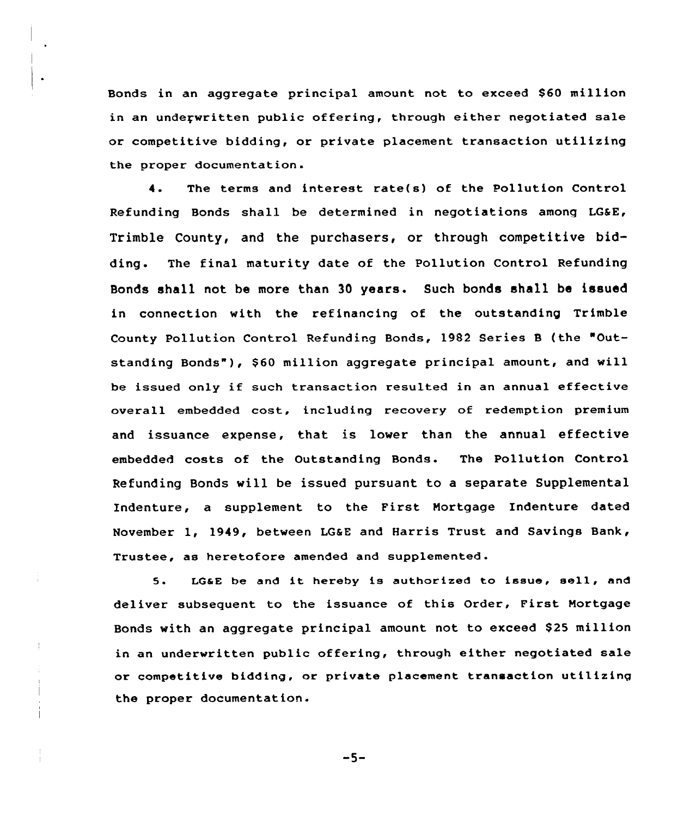Bonds in an aggregate principal amount not to exceed \$60 million in an undeqwritten public offering, through either negotiated sale or competitive bidding, or private placement transaction utilizing the proper documentation.

4. The terms and interest rate(s) of the Pollution Control Refunding Bonds shall be determined in negotiations among LG&E, Trimble County, and the purchasers, or through competitive bidding. The final maturity date of the Pollution Control Refunding Bonds shall not be more than 30 years. Such bonds shall be issued in connection with the refinancing of the outstanding Trimble County Pollution Control Refunding Bonds, 1982 Series <sup>B</sup> (the "Outstanding Bonds"), \$60 million aggregate principal amount, and will be issued only if such transaction resulted in an annual effective overall embedded cost, including recovery of redemption premium and issuance expense, that is lower than the annual effective embedded costs of the Outstanding Bonds. The Pollution Control Refunding Bonds will be issued pursuant to a separate Supplemental Indenture, a supplement to the First Mortgage Indenture dated November 1, 1949, between LGaE and Harris Trust and Savings Bank, Trustee, as heretofore amended and supplemented.

5. LG&E be and it hereby is authorized to issue, sell, and deliver subsequent to the issuance of this Order, First Mortgage Bonds with an aggregate principal amount not to exceed \$25 million in an underwritten public offering, through either negotiated sale or competitive bidding, or private placement transaction utilizing the proper documentation.

-5-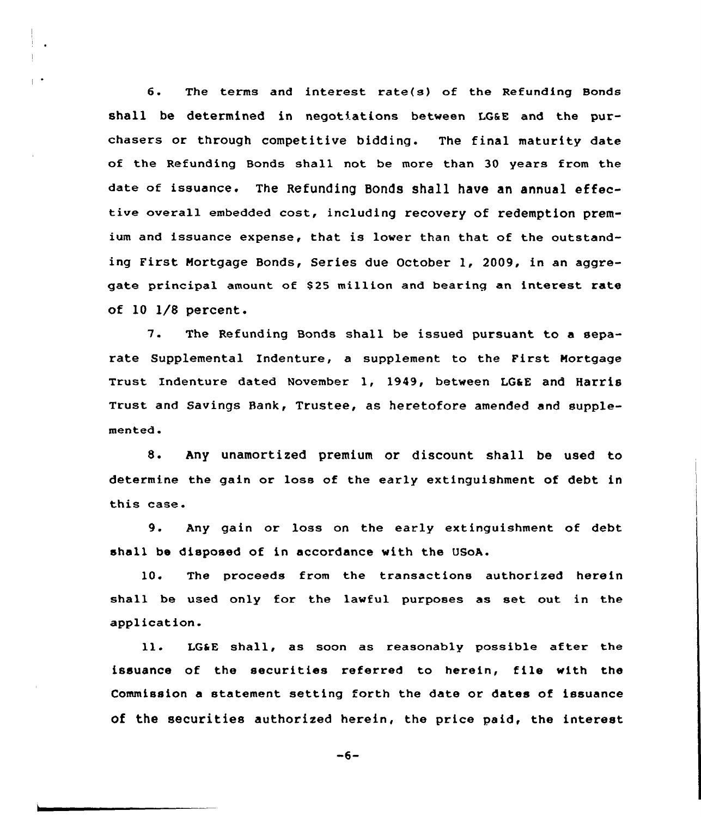6. The terms and interest rate(s) of the Refunding Bonds shall be determined in negotiations between LGaE and the purchasers or through competitive bidding. The final maturity date of the Refunding Bonds shall not be more than 30 years from the date of issuance. The Refunding Bonds shall have an annual effective overall embedded cost, including recovery of redemption premium and issuance expense, that is lower than that of the outstanding First Mortgage Bonds, Series due October 1, 2009, in an aggregate principal amount of \$25 million and bearing an interest rate of 10 1/8 percent.

7. The Refunding Bonds shall be issued pursuant to <sup>a</sup> separate Supplemental Indenture, a supplement to the First Mortgage Trust Indenture dated November 1, 1949, between LG&E and Harris Trust and Savings Bank, Trustee, as heretofore amended and supplemented.

8. Any unamortized premium or discount shall be used to determine the gain or loss of the early extinguishment of debt in this case.

9. Any gain or loss on the early extinguishment of debt, shell be disposed of in accordance with the USoA.

10. The proceeds from the transactions authorized herein shall be used only for the lawful purposes as set out in the application.

ll. LGSE shall, as soon as reasonably possible after the issuance of the securities referred to herein, file with the Commission a statement setting forth the date or dates of issuance of the securities authorized herein, the price paid, the interest

$$
-6-
$$